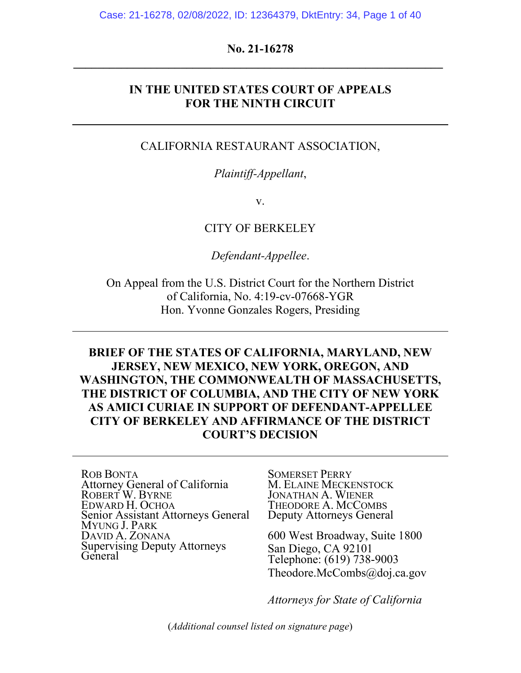### **No. 21-16278 \_\_\_\_\_\_\_\_\_\_\_\_\_\_\_\_\_\_\_\_\_\_\_\_\_\_\_\_\_\_\_\_\_\_\_\_\_\_\_\_\_\_\_\_\_\_\_\_\_\_\_\_\_\_\_\_\_\_\_\_\_\_**

### **IN THE UNITED STATES COURT OF APPEALS FOR THE NINTH CIRCUIT**

#### CALIFORNIA RESTAURANT ASSOCIATION,

#### *Plaintiff-Appellant*,

v.

#### CITY OF BERKELEY

*Defendant-Appellee*.

On Appeal from the U.S. District Court for the Northern District of California, No. 4:19-cv-07668-YGR Hon. Yvonne Gonzales Rogers, Presiding

## **BRIEF OF THE STATES OF CALIFORNIA, MARYLAND, NEW JERSEY, NEW MEXICO, NEW YORK, OREGON, AND WASHINGTON, THE COMMONWEALTH OF MASSACHUSETTS, THE DISTRICT OF COLUMBIA, AND THE CITY OF NEW YORK AS AMICI CURIAE IN SUPPORT OF DEFENDANT-APPELLEE CITY OF BERKELEY AND AFFIRMANCE OF THE DISTRICT COURT'S DECISION**

ROB BONTA Attorney General of California ROBERT W. BYRNE EDWARD H. OCHOA Senior Assistant Attorneys General MYUNG J. PARK DAVID A. ZONANA Supervising Deputy Attorneys **General** 

SOMERSET PERRY M. ELAINE MECKENSTOCK JONATHAN A. WIENER THEODORE A. MCCOMBS Deputy Attorneys General

600 West Broadway, Suite 1800 San Diego, CA 92101 Telephone: (619) 738-9003 Theodore.McCombs@doj.ca.gov

*Attorneys for State of California*

(*Additional counsel listed on signature page*)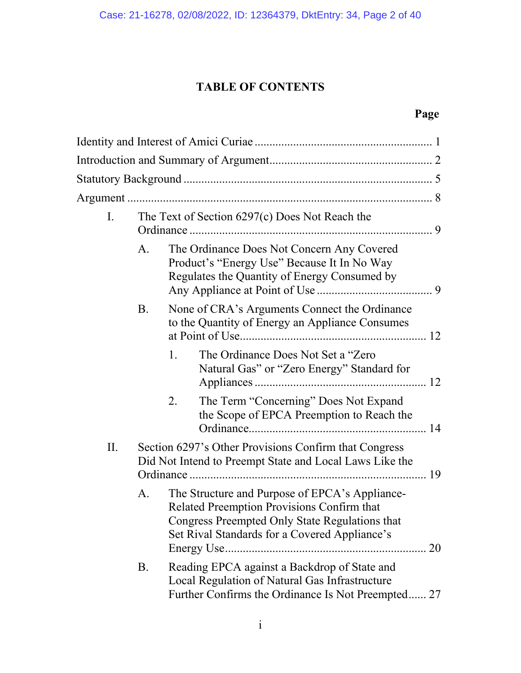# **TABLE OF CONTENTS**

# **Page**

| $\mathbf{I}$ . | The Text of Section 6297(c) Does Not Reach the |                                                                                                                                                                                                 |  |
|----------------|------------------------------------------------|-------------------------------------------------------------------------------------------------------------------------------------------------------------------------------------------------|--|
|                | A.                                             | The Ordinance Does Not Concern Any Covered<br>Product's "Energy Use" Because It In No Way<br>Regulates the Quantity of Energy Consumed by                                                       |  |
|                | B.                                             | None of CRA's Arguments Connect the Ordinance<br>to the Quantity of Energy an Appliance Consumes                                                                                                |  |
|                |                                                | 1.<br>The Ordinance Does Not Set a "Zero"<br>Natural Gas" or "Zero Energy" Standard for                                                                                                         |  |
|                |                                                | The Term "Concerning" Does Not Expand<br>2.<br>the Scope of EPCA Preemption to Reach the                                                                                                        |  |
| II.            |                                                | Section 6297's Other Provisions Confirm that Congress<br>Did Not Intend to Preempt State and Local Laws Like the                                                                                |  |
|                | А.                                             | The Structure and Purpose of EPCA's Appliance-<br>Related Preemption Provisions Confirm that<br>Congress Preempted Only State Regulations that<br>Set Rival Standards for a Covered Appliance's |  |
|                | B.                                             | Reading EPCA against a Backdrop of State and<br>Local Regulation of Natural Gas Infrastructure<br>Further Confirms the Ordinance Is Not Preempted 27                                            |  |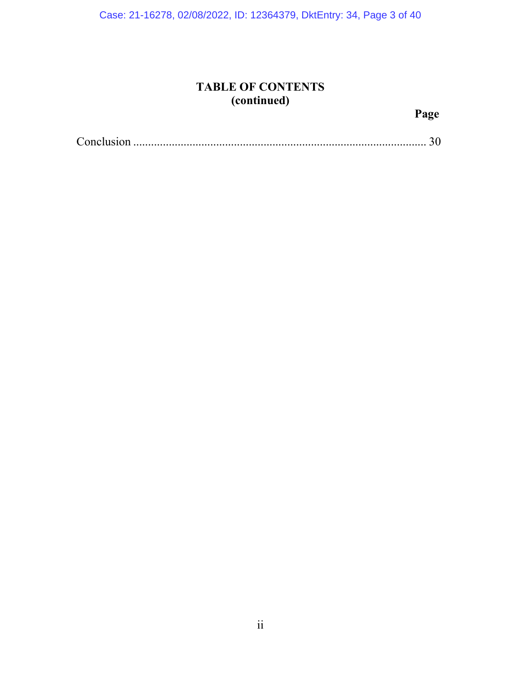Case: 21-16278, 02/08/2022, ID: 12364379, DktEntry: 34, Page 3 of 40

# **TABLE OF CONTENTS (continued)**

# **Page**

|--|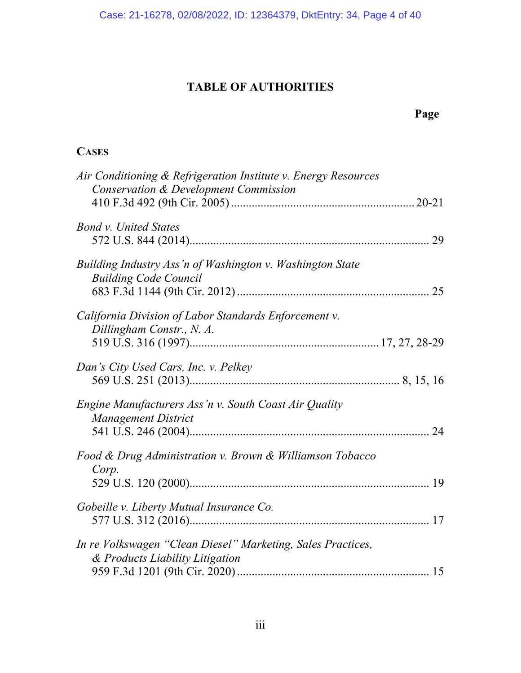# **TABLE OF AUTHORITIES**

# **CASES**

| Air Conditioning & Refrigeration Institute v. Energy Resources                                 |  |
|------------------------------------------------------------------------------------------------|--|
| Conservation & Development Commission                                                          |  |
| <b>Bond v. United States</b>                                                                   |  |
| Building Industry Ass'n of Washington v. Washington State<br><b>Building Code Council</b>      |  |
| California Division of Labor Standards Enforcement v.<br>Dillingham Constr., N. A.             |  |
| Dan's City Used Cars, Inc. v. Pelkey                                                           |  |
| Engine Manufacturers Ass'n v. South Coast Air Quality<br><b>Management District</b>            |  |
| Food & Drug Administration v. Brown & Williamson Tobacco<br>Corp.                              |  |
| Gobeille v. Liberty Mutual Insurance Co.                                                       |  |
| In re Volkswagen "Clean Diesel" Marketing, Sales Practices,<br>& Products Liability Litigation |  |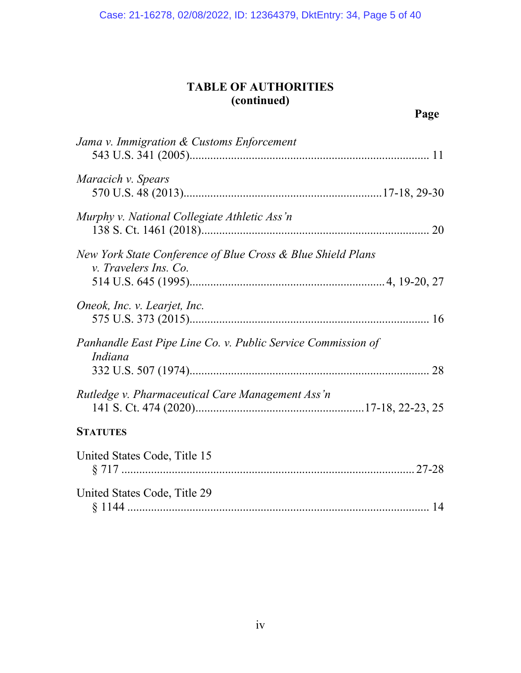# **TABLE OF AUTHORITIES (continued)**

| Jama v. Immigration & Customs Enforcement                                            |  |
|--------------------------------------------------------------------------------------|--|
| Maracich v. Spears                                                                   |  |
| Murphy v. National Collegiate Athletic Ass'n                                         |  |
| New York State Conference of Blue Cross & Blue Shield Plans<br>v. Travelers Ins. Co. |  |
|                                                                                      |  |
| Oneok, Inc. v. Learjet, Inc.                                                         |  |
| Panhandle East Pipe Line Co. v. Public Service Commission of<br>Indiana              |  |
|                                                                                      |  |
| Rutledge v. Pharmaceutical Care Management Ass'n                                     |  |
| <b>STATUTES</b>                                                                      |  |
| United States Code, Title 15                                                         |  |
| United States Code, Title 29                                                         |  |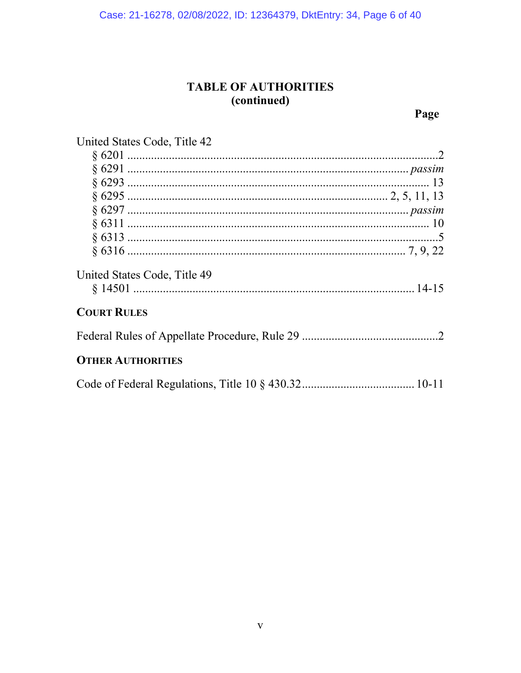# TABLE OF AUTHORITIES (continued)

Page

| United States Code, Title 42 |  |  |
|------------------------------|--|--|
|                              |  |  |

| United States Code, Title 49 |  |
|------------------------------|--|
|                              |  |
| <b>COURT RULES</b>           |  |
|                              |  |
| <b>OTHER AUTHORITIES</b>     |  |

|--|--|--|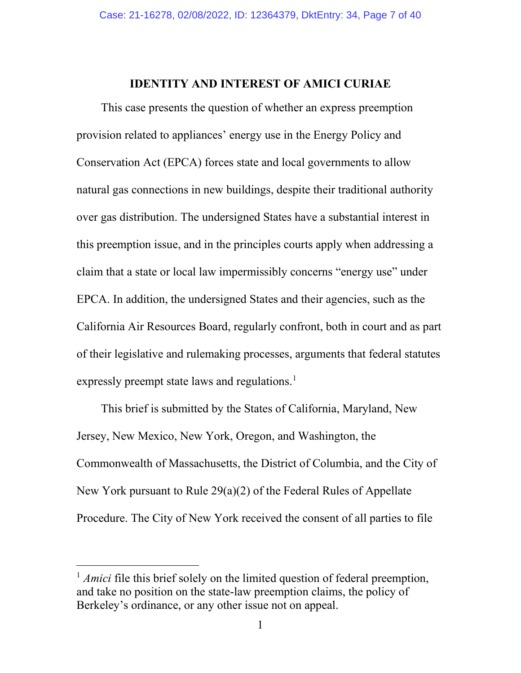#### **IDENTITY AND INTEREST OF AMICI CURIAE**

This case presents the question of whether an express preemption provision related to appliances' energy use in the Energy Policy and Conservation Act (EPCA) forces state and local governments to allow natural gas connections in new buildings, despite their traditional authority over gas distribution. The undersigned States have a substantial interest in this preemption issue, and in the principles courts apply when addressing a claim that a state or local law impermissibly concerns "energy use" under EPCA. In addition, the undersigned States and their agencies, such as the California Air Resources Board, regularly confront, both in court and as part of their legislative and rulemaking processes, arguments that federal statutes expressly preempt state laws and regulations.<sup>[1](#page-6-0)</sup>

This brief is submitted by the States of California, Maryland, New Jersey, New Mexico, New York, Oregon, and Washington, the Commonwealth of Massachusetts, the District of Columbia, and the City of New York pursuant to Rule 29(a)(2) of the Federal Rules of Appellate Procedure. The City of New York received the consent of all parties to file

<span id="page-6-0"></span><sup>&</sup>lt;sup>1</sup> *Amici* file this brief solely on the limited question of federal preemption, and take no position on the state-law preemption claims, the policy of Berkeley's ordinance, or any other issue not on appeal.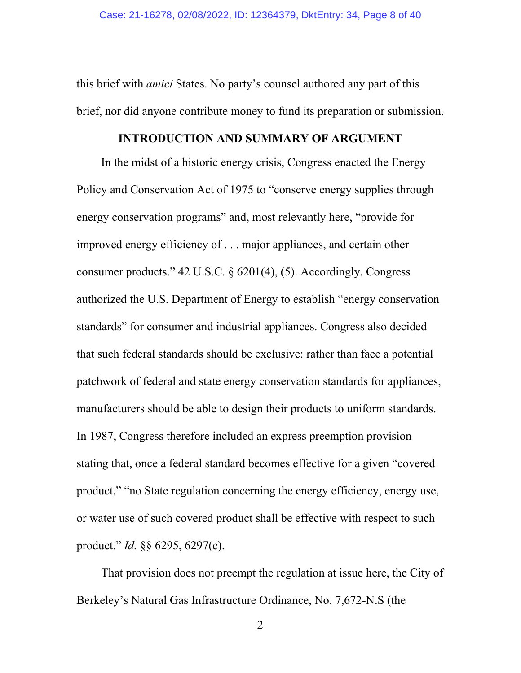this brief with *amici* States. No party's counsel authored any part of this brief, nor did anyone contribute money to fund its preparation or submission.

#### **INTRODUCTION AND SUMMARY OF ARGUMENT**

In the midst of a historic energy crisis, Congress enacted the Energy Policy and Conservation Act of 1975 to "conserve energy supplies through energy conservation programs" and, most relevantly here, "provide for improved energy efficiency of . . . major appliances, and certain other consumer products." 42 U.S.C. § 6201(4), (5). Accordingly, Congress authorized the U.S. Department of Energy to establish "energy conservation standards" for consumer and industrial appliances. Congress also decided that such federal standards should be exclusive: rather than face a potential patchwork of federal and state energy conservation standards for appliances, manufacturers should be able to design their products to uniform standards. In 1987, Congress therefore included an express preemption provision stating that, once a federal standard becomes effective for a given "covered product," "no State regulation concerning the energy efficiency, energy use, or water use of such covered product shall be effective with respect to such product." *Id.* §§ 6295, 6297(c).

That provision does not preempt the regulation at issue here, the City of Berkeley's Natural Gas Infrastructure Ordinance, No. 7,672-N.S (the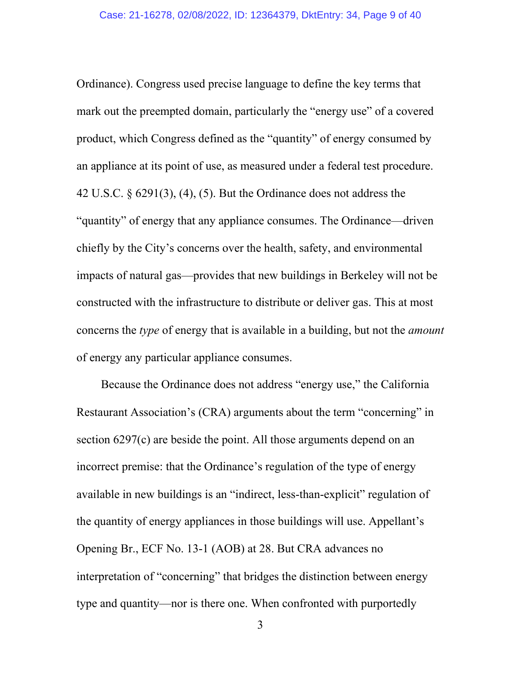Ordinance). Congress used precise language to define the key terms that mark out the preempted domain, particularly the "energy use" of a covered product, which Congress defined as the "quantity" of energy consumed by an appliance at its point of use, as measured under a federal test procedure. 42 U.S.C. § 6291(3), (4), (5). But the Ordinance does not address the "quantity" of energy that any appliance consumes. The Ordinance—driven chiefly by the City's concerns over the health, safety, and environmental impacts of natural gas—provides that new buildings in Berkeley will not be constructed with the infrastructure to distribute or deliver gas. This at most concerns the *type* of energy that is available in a building, but not the *amount* of energy any particular appliance consumes.

Because the Ordinance does not address "energy use," the California Restaurant Association's (CRA) arguments about the term "concerning" in section 6297(c) are beside the point. All those arguments depend on an incorrect premise: that the Ordinance's regulation of the type of energy available in new buildings is an "indirect, less-than-explicit" regulation of the quantity of energy appliances in those buildings will use. Appellant's Opening Br., ECF No. 13-1 (AOB) at 28. But CRA advances no interpretation of "concerning" that bridges the distinction between energy type and quantity—nor is there one. When confronted with purportedly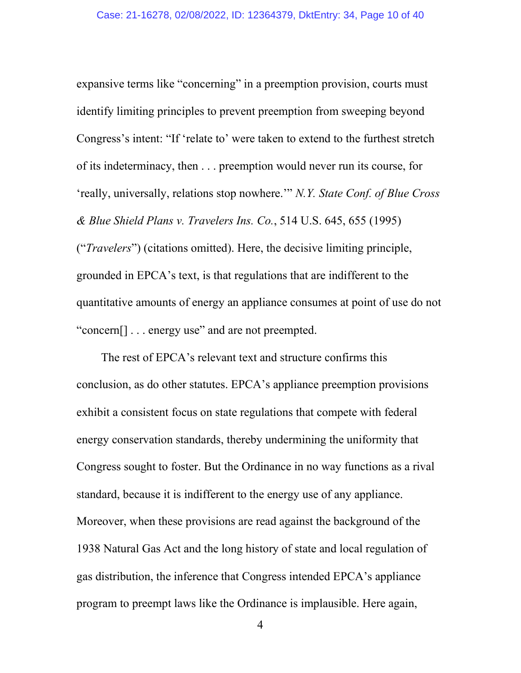expansive terms like "concerning" in a preemption provision, courts must identify limiting principles to prevent preemption from sweeping beyond Congress's intent: "If 'relate to' were taken to extend to the furthest stretch of its indeterminacy, then . . . preemption would never run its course, for 'really, universally, relations stop nowhere.'" *N.Y. State Conf. of Blue Cross & Blue Shield Plans v. Travelers Ins. Co.*, 514 U.S. 645, 655 (1995) ("*Travelers*") (citations omitted). Here, the decisive limiting principle, grounded in EPCA's text, is that regulations that are indifferent to the quantitative amounts of energy an appliance consumes at point of use do not "concern[] . . . energy use" and are not preempted.

The rest of EPCA's relevant text and structure confirms this conclusion, as do other statutes. EPCA's appliance preemption provisions exhibit a consistent focus on state regulations that compete with federal energy conservation standards, thereby undermining the uniformity that Congress sought to foster. But the Ordinance in no way functions as a rival standard, because it is indifferent to the energy use of any appliance. Moreover, when these provisions are read against the background of the 1938 Natural Gas Act and the long history of state and local regulation of gas distribution, the inference that Congress intended EPCA's appliance program to preempt laws like the Ordinance is implausible. Here again,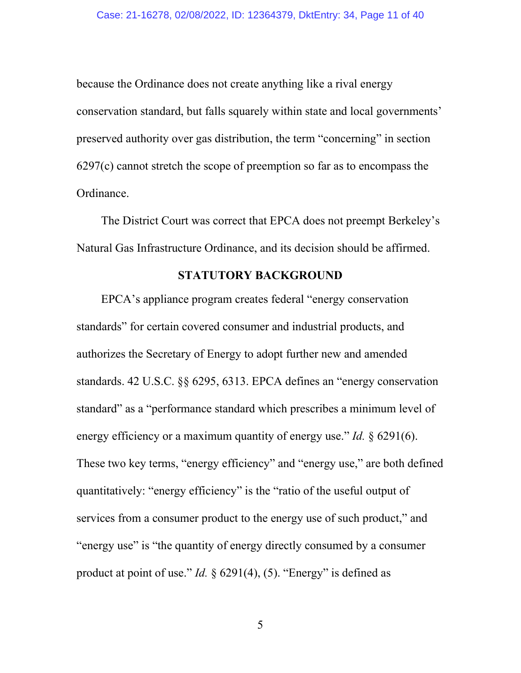because the Ordinance does not create anything like a rival energy conservation standard, but falls squarely within state and local governments' preserved authority over gas distribution, the term "concerning" in section 6297(c) cannot stretch the scope of preemption so far as to encompass the Ordinance.

The District Court was correct that EPCA does not preempt Berkeley's Natural Gas Infrastructure Ordinance, and its decision should be affirmed.

#### **STATUTORY BACKGROUND**

EPCA's appliance program creates federal "energy conservation standards" for certain covered consumer and industrial products, and authorizes the Secretary of Energy to adopt further new and amended standards. 42 U.S.C. §§ 6295, 6313. EPCA defines an "energy conservation standard" as a "performance standard which prescribes a minimum level of energy efficiency or a maximum quantity of energy use." *Id.* § 6291(6). These two key terms, "energy efficiency" and "energy use," are both defined quantitatively: "energy efficiency" is the "ratio of the useful output of services from a consumer product to the energy use of such product," and "energy use" is "the quantity of energy directly consumed by a consumer product at point of use." *Id.* § 6291(4), (5). "Energy" is defined as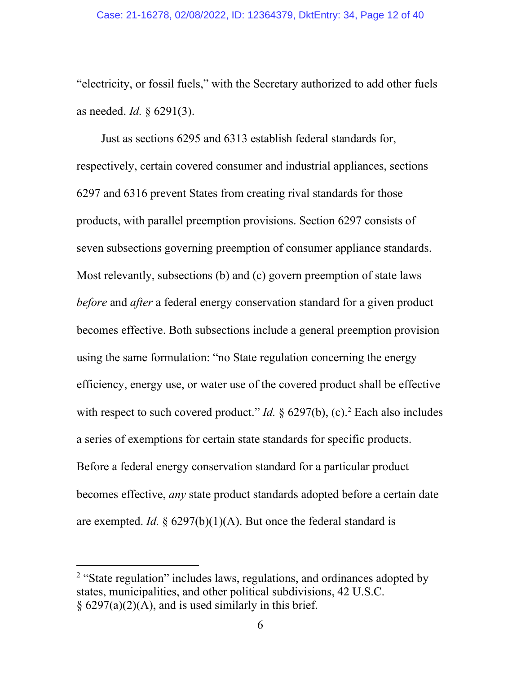"electricity, or fossil fuels," with the Secretary authorized to add other fuels as needed. *Id.* § 6291(3).

Just as sections 6295 and 6313 establish federal standards for, respectively, certain covered consumer and industrial appliances, sections 6297 and 6316 prevent States from creating rival standards for those products, with parallel preemption provisions. Section 6297 consists of seven subsections governing preemption of consumer appliance standards. Most relevantly, subsections (b) and (c) govern preemption of state laws *before* and *after* a federal energy conservation standard for a given product becomes effective. Both subsections include a general preemption provision using the same formulation: "no State regulation concerning the energy efficiency, energy use, or water use of the covered product shall be effective with respect to such covered product." *Id.*  $\S$  6[2](#page-11-0)97(b), (c).<sup>2</sup> Each also includes a series of exemptions for certain state standards for specific products. Before a federal energy conservation standard for a particular product becomes effective, *any* state product standards adopted before a certain date are exempted. *Id.*  $\S$  6297(b)(1)(A). But once the federal standard is

<span id="page-11-0"></span><sup>&</sup>lt;sup>2</sup> "State regulation" includes laws, regulations, and ordinances adopted by states, municipalities, and other political subdivisions, 42 U.S.C.  $\S$  6297(a)(2)(A), and is used similarly in this brief.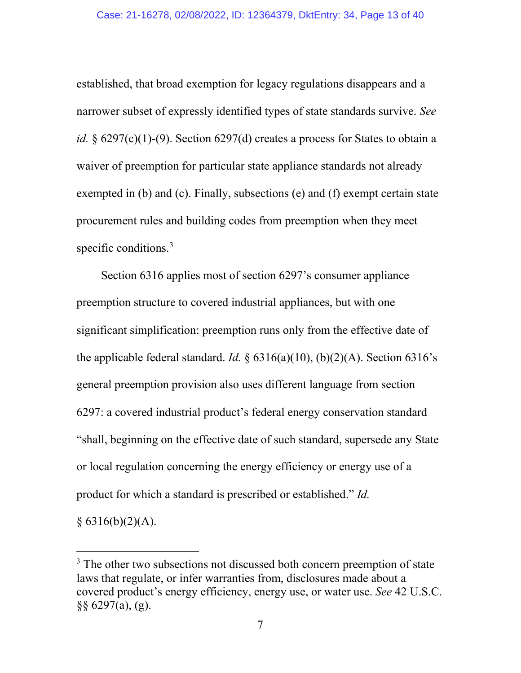established, that broad exemption for legacy regulations disappears and a narrower subset of expressly identified types of state standards survive. *See id.*  $\S$  6297(c)(1)-(9). Section 6297(d) creates a process for States to obtain a waiver of preemption for particular state appliance standards not already exempted in (b) and (c). Finally, subsections (e) and (f) exempt certain state procurement rules and building codes from preemption when they meet specific conditions.<sup>[3](#page-12-0)</sup>

Section 6316 applies most of section 6297's consumer appliance preemption structure to covered industrial appliances, but with one significant simplification: preemption runs only from the effective date of the applicable federal standard. *Id.*  $\S$  6316(a)(10), (b)(2)(A). Section 6316's general preemption provision also uses different language from section 6297: a covered industrial product's federal energy conservation standard "shall, beginning on the effective date of such standard, supersede any State or local regulation concerning the energy efficiency or energy use of a product for which a standard is prescribed or established." *Id.*

 $§ 6316(b)(2)(A).$ 

<span id="page-12-0"></span><sup>&</sup>lt;sup>3</sup> The other two subsections not discussed both concern preemption of state laws that regulate, or infer warranties from, disclosures made about a covered product's energy efficiency, energy use, or water use. *See* 42 U.S.C. §§ 6297(a), (g).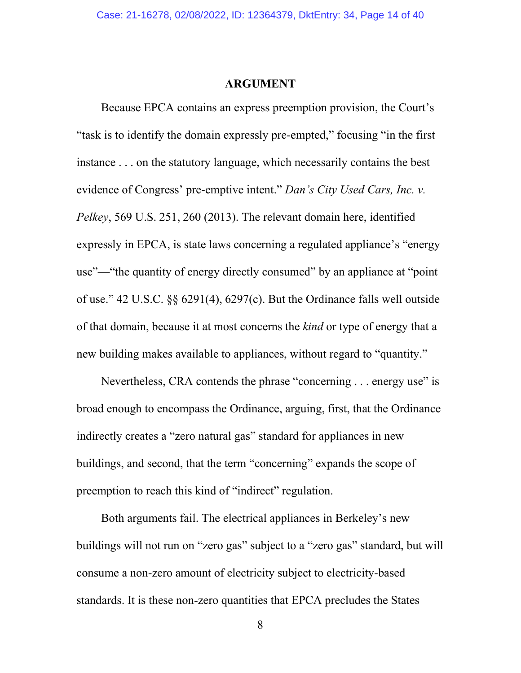#### **ARGUMENT**

Because EPCA contains an express preemption provision, the Court's "task is to identify the domain expressly pre-empted," focusing "in the first instance . . . on the statutory language, which necessarily contains the best evidence of Congress' pre-emptive intent." *Dan's City Used Cars, Inc. v. Pelkey*, 569 U.S. 251, 260 (2013). The relevant domain here, identified expressly in EPCA, is state laws concerning a regulated appliance's "energy use"—"the quantity of energy directly consumed" by an appliance at "point of use." 42 U.S.C. §§ 6291(4), 6297(c). But the Ordinance falls well outside of that domain, because it at most concerns the *kind* or type of energy that a new building makes available to appliances, without regard to "quantity."

Nevertheless, CRA contends the phrase "concerning . . . energy use" is broad enough to encompass the Ordinance, arguing, first, that the Ordinance indirectly creates a "zero natural gas" standard for appliances in new buildings, and second, that the term "concerning" expands the scope of preemption to reach this kind of "indirect" regulation.

Both arguments fail. The electrical appliances in Berkeley's new buildings will not run on "zero gas" subject to a "zero gas" standard, but will consume a non-zero amount of electricity subject to electricity-based standards. It is these non-zero quantities that EPCA precludes the States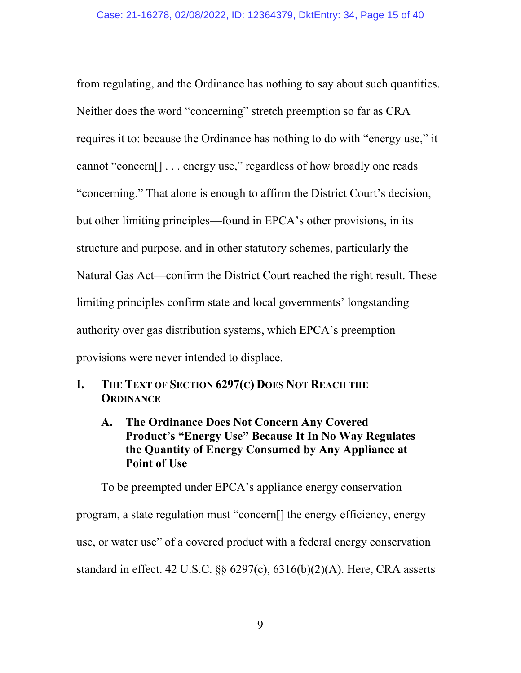from regulating, and the Ordinance has nothing to say about such quantities. Neither does the word "concerning" stretch preemption so far as CRA requires it to: because the Ordinance has nothing to do with "energy use," it cannot "concern[] . . . energy use," regardless of how broadly one reads "concerning." That alone is enough to affirm the District Court's decision, but other limiting principles—found in EPCA's other provisions, in its structure and purpose, and in other statutory schemes, particularly the Natural Gas Act—confirm the District Court reached the right result. These limiting principles confirm state and local governments' longstanding authority over gas distribution systems, which EPCA's preemption provisions were never intended to displace.

- **I. THE TEXT OF SECTION 6297(C) DOES NOT REACH THE ORDINANCE** 
	- **A. The Ordinance Does Not Concern Any Covered Product's "Energy Use" Because It In No Way Regulates the Quantity of Energy Consumed by Any Appliance at Point of Use**

To be preempted under EPCA's appliance energy conservation program, a state regulation must "concern[] the energy efficiency, energy use, or water use" of a covered product with a federal energy conservation standard in effect. 42 U.S.C. §§ 6297(c), 6316(b)(2)(A). Here, CRA asserts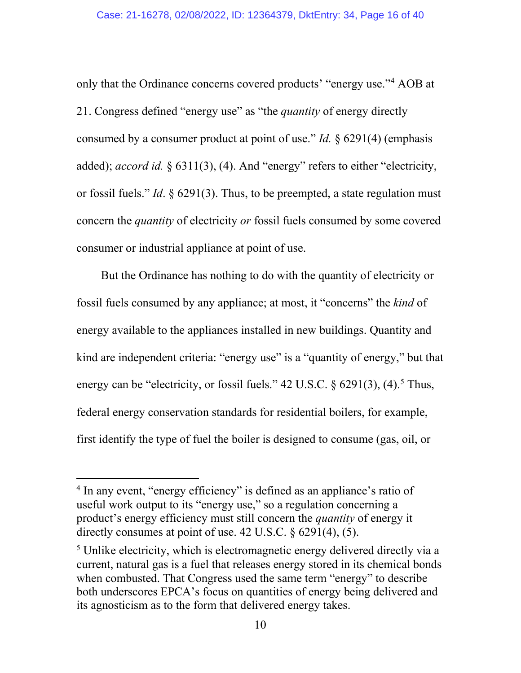only that the Ordinance concerns covered products' "energy use."[4](#page-15-0) AOB at 21. Congress defined "energy use" as "the *quantity* of energy directly consumed by a consumer product at point of use." *Id.* § 6291(4) (emphasis added); *accord id.* § 6311(3), (4). And "energy" refers to either "electricity, or fossil fuels." *Id*. § 6291(3). Thus, to be preempted, a state regulation must concern the *quantity* of electricity *or* fossil fuels consumed by some covered consumer or industrial appliance at point of use.

But the Ordinance has nothing to do with the quantity of electricity or fossil fuels consumed by any appliance; at most, it "concerns" the *kind* of energy available to the appliances installed in new buildings. Quantity and kind are independent criteria: "energy use" is a "quantity of energy," but that energy can be "electricity, or fossil fuels." 42 U.S.C.  $\S$  6291(3), (4).<sup>[5](#page-15-1)</sup> Thus, federal energy conservation standards for residential boilers, for example, first identify the type of fuel the boiler is designed to consume (gas, oil, or

<span id="page-15-0"></span><sup>&</sup>lt;sup>4</sup> In any event, "energy efficiency" is defined as an appliance's ratio of useful work output to its "energy use," so a regulation concerning a product's energy efficiency must still concern the *quantity* of energy it directly consumes at point of use. 42 U.S.C. § 6291(4), (5).

<span id="page-15-1"></span><sup>&</sup>lt;sup>5</sup> Unlike electricity, which is electromagnetic energy delivered directly via a current, natural gas is a fuel that releases energy stored in its chemical bonds when combusted. That Congress used the same term "energy" to describe both underscores EPCA's focus on quantities of energy being delivered and its agnosticism as to the form that delivered energy takes.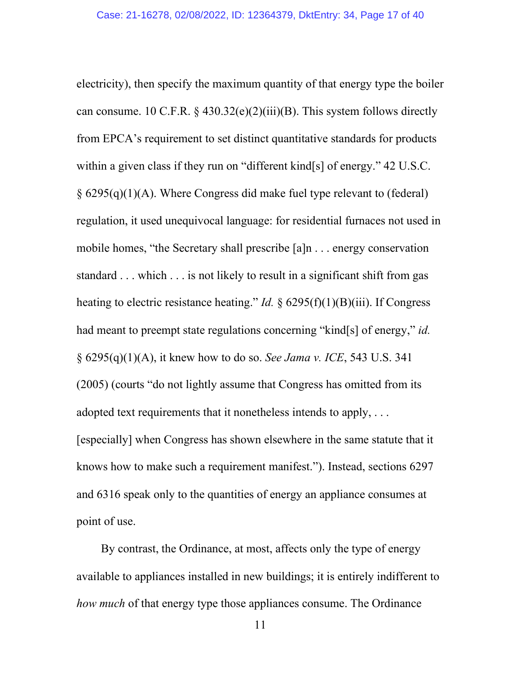electricity), then specify the maximum quantity of that energy type the boiler can consume. 10 C.F.R.  $\S$  430.32(e)(2)(iii)(B). This system follows directly from EPCA's requirement to set distinct quantitative standards for products within a given class if they run on "different kind[s] of energy." 42 U.S.C. § 6295(q)(1)(A). Where Congress did make fuel type relevant to (federal) regulation, it used unequivocal language: for residential furnaces not used in mobile homes, "the Secretary shall prescribe [a]n . . . energy conservation standard . . . which . . . is not likely to result in a significant shift from gas heating to electric resistance heating." *Id.* § 6295(f)(1)(B)(iii). If Congress had meant to preempt state regulations concerning "kind[s] of energy," *id.* § 6295(q)(1)(A), it knew how to do so. *See Jama v. ICE*, 543 U.S. 341 (2005) (courts "do not lightly assume that Congress has omitted from its adopted text requirements that it nonetheless intends to apply, ... [especially] when Congress has shown elsewhere in the same statute that it knows how to make such a requirement manifest."). Instead, sections 6297 and 6316 speak only to the quantities of energy an appliance consumes at point of use.

By contrast, the Ordinance, at most, affects only the type of energy available to appliances installed in new buildings; it is entirely indifferent to *how much* of that energy type those appliances consume. The Ordinance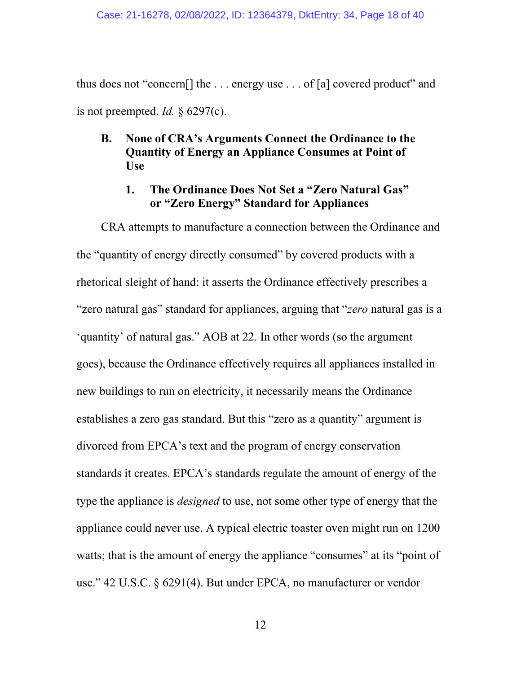thus does not "concern[] the . . . energy use . . . of [a] covered product" and is not preempted. *Id.* § 6297(c).

## **B. None of CRA's Arguments Connect the Ordinance to the Quantity of Energy an Appliance Consumes at Point of Use**

#### **1. The Ordinance Does Not Set a "Zero Natural Gas" or "Zero Energy" Standard for Appliances**

CRA attempts to manufacture a connection between the Ordinance and the "quantity of energy directly consumed" by covered products with a rhetorical sleight of hand: it asserts the Ordinance effectively prescribes a "zero natural gas" standard for appliances, arguing that "*zero* natural gas is a 'quantity' of natural gas." AOB at 22. In other words (so the argument goes), because the Ordinance effectively requires all appliances installed in new buildings to run on electricity, it necessarily means the Ordinance establishes a zero gas standard. But this "zero as a quantity" argument is divorced from EPCA's text and the program of energy conservation standards it creates. EPCA's standards regulate the amount of energy of the type the appliance is *designed* to use, not some other type of energy that the appliance could never use. A typical electric toaster oven might run on 1200 watts; that is the amount of energy the appliance "consumes" at its "point of use." 42 U.S.C. § 6291(4). But under EPCA, no manufacturer or vendor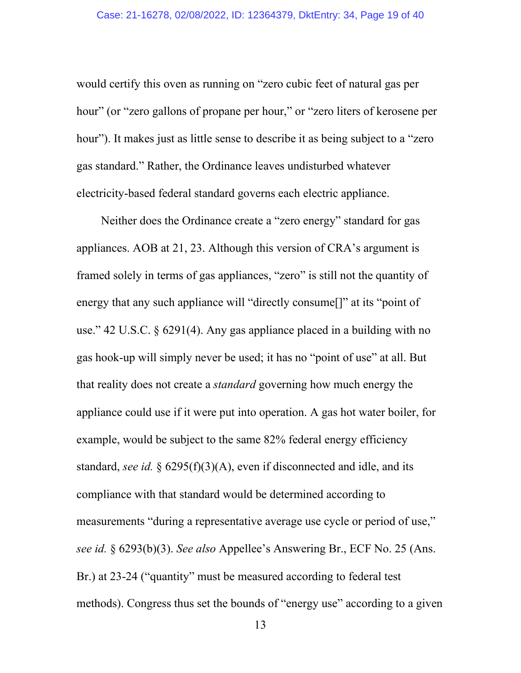would certify this oven as running on "zero cubic feet of natural gas per hour" (or "zero gallons of propane per hour," or "zero liters of kerosene per hour"). It makes just as little sense to describe it as being subject to a "zero gas standard." Rather, the Ordinance leaves undisturbed whatever electricity-based federal standard governs each electric appliance.

Neither does the Ordinance create a "zero energy" standard for gas appliances. AOB at 21, 23. Although this version of CRA's argument is framed solely in terms of gas appliances, "zero" is still not the quantity of energy that any such appliance will "directly consume<sup>[]"</sup> at its "point of use." 42 U.S.C. § 6291(4). Any gas appliance placed in a building with no gas hook-up will simply never be used; it has no "point of use" at all. But that reality does not create a *standard* governing how much energy the appliance could use if it were put into operation. A gas hot water boiler, for example, would be subject to the same 82% federal energy efficiency standard, *see id.* § 6295(f)(3)(A), even if disconnected and idle, and its compliance with that standard would be determined according to measurements "during a representative average use cycle or period of use," *see id.* § 6293(b)(3). *See also* Appellee's Answering Br., ECF No. 25 (Ans. Br.) at 23-24 ("quantity" must be measured according to federal test methods). Congress thus set the bounds of "energy use" according to a given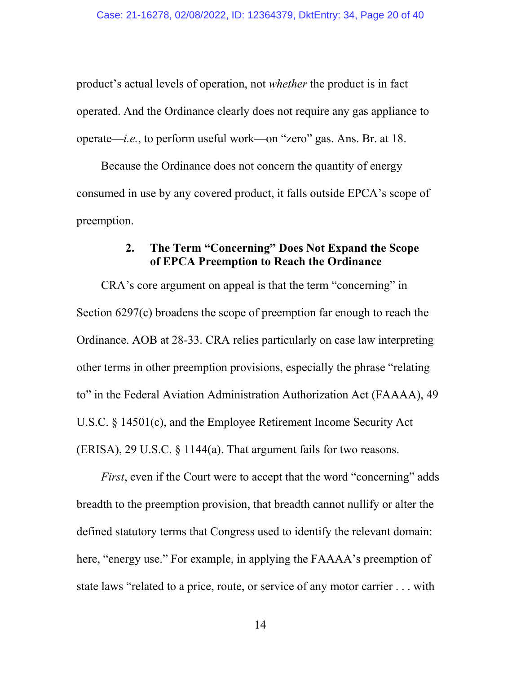product's actual levels of operation, not *whether* the product is in fact operated. And the Ordinance clearly does not require any gas appliance to operate—*i.e.*, to perform useful work—on "zero" gas. Ans. Br. at 18.

Because the Ordinance does not concern the quantity of energy consumed in use by any covered product, it falls outside EPCA's scope of preemption.

#### **2. The Term "Concerning" Does Not Expand the Scope of EPCA Preemption to Reach the Ordinance**

CRA's core argument on appeal is that the term "concerning" in Section 6297(c) broadens the scope of preemption far enough to reach the Ordinance. AOB at 28-33. CRA relies particularly on case law interpreting other terms in other preemption provisions, especially the phrase "relating to" in the Federal Aviation Administration Authorization Act (FAAAA), 49 U.S.C. § 14501(c), and the Employee Retirement Income Security Act  $(ERISA)$ , 29 U.S.C. § 1144(a). That argument fails for two reasons.

*First*, even if the Court were to accept that the word "concerning" adds breadth to the preemption provision, that breadth cannot nullify or alter the defined statutory terms that Congress used to identify the relevant domain: here, "energy use." For example, in applying the FAAAA's preemption of state laws "related to a price, route, or service of any motor carrier . . . with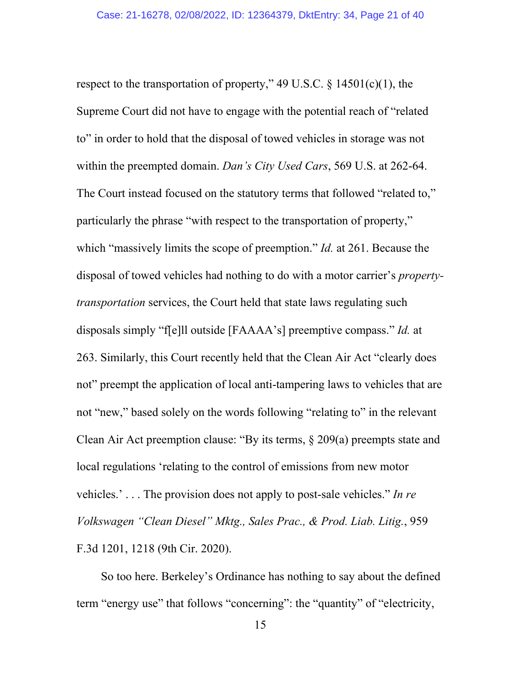respect to the transportation of property," 49 U.S.C.  $\S$  14501(c)(1), the Supreme Court did not have to engage with the potential reach of "related to" in order to hold that the disposal of towed vehicles in storage was not within the preempted domain. *Dan's City Used Cars*, 569 U.S. at 262-64. The Court instead focused on the statutory terms that followed "related to," particularly the phrase "with respect to the transportation of property," which "massively limits the scope of preemption." *Id.* at 261. Because the disposal of towed vehicles had nothing to do with a motor carrier's *propertytransportation* services, the Court held that state laws regulating such disposals simply "f[e]ll outside [FAAAA's] preemptive compass." *Id.* at 263. Similarly, this Court recently held that the Clean Air Act "clearly does not" preempt the application of local anti-tampering laws to vehicles that are not "new," based solely on the words following "relating to" in the relevant Clean Air Act preemption clause: "By its terms, § 209(a) preempts state and local regulations 'relating to the control of emissions from new motor vehicles.' . . . The provision does not apply to post-sale vehicles." *In re Volkswagen "Clean Diesel" Mktg., Sales Prac., & Prod. Liab. Litig.*, 959 F.3d 1201, 1218 (9th Cir. 2020).

So too here. Berkeley's Ordinance has nothing to say about the defined term "energy use" that follows "concerning": the "quantity" of "electricity,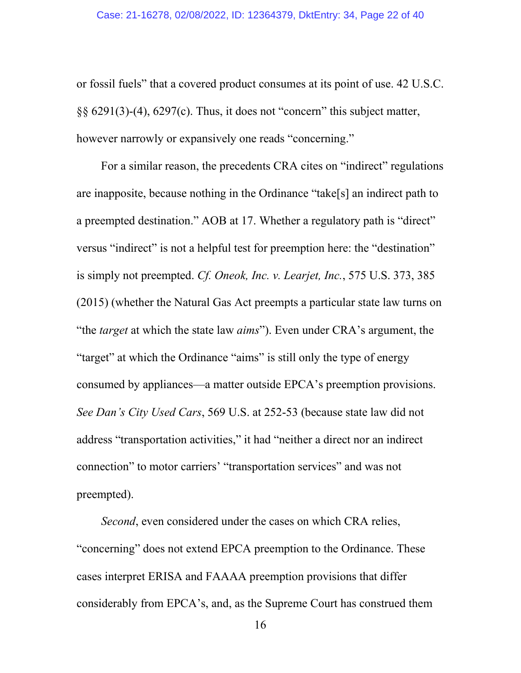or fossil fuels" that a covered product consumes at its point of use. 42 U.S.C. §§ 6291(3)-(4), 6297(c). Thus, it does not "concern" this subject matter, however narrowly or expansively one reads "concerning."

For a similar reason, the precedents CRA cites on "indirect" regulations are inapposite, because nothing in the Ordinance "take[s] an indirect path to a preempted destination." AOB at 17. Whether a regulatory path is "direct" versus "indirect" is not a helpful test for preemption here: the "destination" is simply not preempted. *Cf. Oneok, Inc. v. Learjet, Inc.*, 575 U.S. 373, 385 (2015) (whether the Natural Gas Act preempts a particular state law turns on "the *target* at which the state law *aims*"). Even under CRA's argument, the "target" at which the Ordinance "aims" is still only the type of energy consumed by appliances—a matter outside EPCA's preemption provisions. *See Dan's City Used Cars*, 569 U.S. at 252-53 (because state law did not address "transportation activities," it had "neither a direct nor an indirect connection" to motor carriers' "transportation services" and was not preempted).

*Second*, even considered under the cases on which CRA relies, "concerning" does not extend EPCA preemption to the Ordinance. These cases interpret ERISA and FAAAA preemption provisions that differ considerably from EPCA's, and, as the Supreme Court has construed them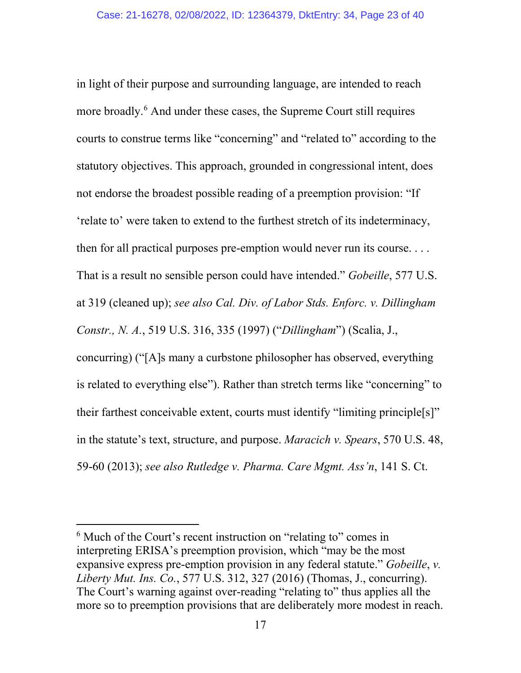in light of their purpose and surrounding language, are intended to reach more broadly.<sup>[6](#page-22-0)</sup> And under these cases, the Supreme Court still requires courts to construe terms like "concerning" and "related to" according to the statutory objectives. This approach, grounded in congressional intent, does not endorse the broadest possible reading of a preemption provision: "If 'relate to' were taken to extend to the furthest stretch of its indeterminacy, then for all practical purposes pre-emption would never run its course. . . . That is a result no sensible person could have intended." *Gobeille*, 577 U.S. at 319 (cleaned up); *see also Cal. Div. of Labor Stds. Enforc. v. Dillingham Constr., N. A.*, 519 U.S. 316, 335 (1997) ("*Dillingham*") (Scalia, J., concurring) ("[A]s many a curbstone philosopher has observed, everything is related to everything else"). Rather than stretch terms like "concerning" to their farthest conceivable extent, courts must identify "limiting principle[s]" in the statute's text, structure, and purpose. *Maracich v. Spears*, 570 U.S. 48, 59-60 (2013); *see also Rutledge v. Pharma. Care Mgmt. Ass'n*, 141 S. Ct.

<span id="page-22-0"></span><sup>&</sup>lt;sup>6</sup> Much of the Court's recent instruction on "relating to" comes in interpreting ERISA's preemption provision, which "may be the most expansive express pre-emption provision in any federal statute." *Gobeille*, *v. Liberty Mut. Ins. Co.*, 577 U.S. 312, 327 (2016) (Thomas, J., concurring). The Court's warning against over-reading "relating to" thus applies all the more so to preemption provisions that are deliberately more modest in reach.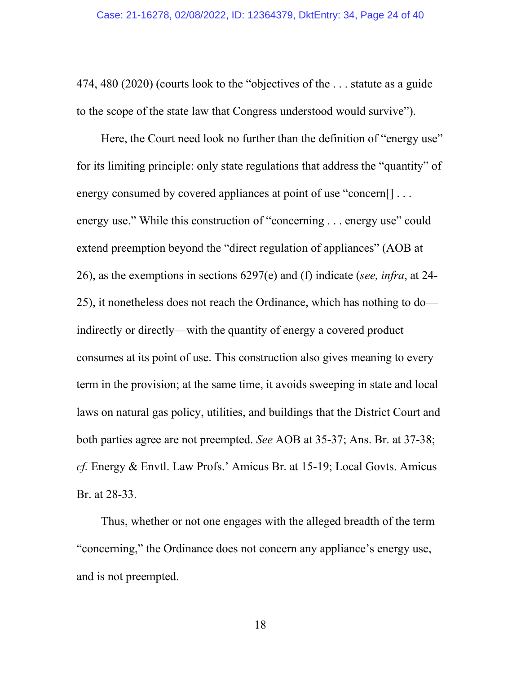474, 480 (2020) (courts look to the "objectives of the . . . statute as a guide to the scope of the state law that Congress understood would survive").

Here, the Court need look no further than the definition of "energy use" for its limiting principle: only state regulations that address the "quantity" of energy consumed by covered appliances at point of use "concern[] ... energy use." While this construction of "concerning . . . energy use" could extend preemption beyond the "direct regulation of appliances" (AOB at 26), as the exemptions in sections 6297(e) and (f) indicate (*see, infra*, at 24- 25), it nonetheless does not reach the Ordinance, which has nothing to do indirectly or directly—with the quantity of energy a covered product consumes at its point of use. This construction also gives meaning to every term in the provision; at the same time, it avoids sweeping in state and local laws on natural gas policy, utilities, and buildings that the District Court and both parties agree are not preempted. *See* AOB at 35-37; Ans. Br. at 37-38; *cf.* Energy & Envtl. Law Profs.' Amicus Br. at 15-19; Local Govts. Amicus Br. at 28-33.

Thus, whether or not one engages with the alleged breadth of the term "concerning," the Ordinance does not concern any appliance's energy use, and is not preempted.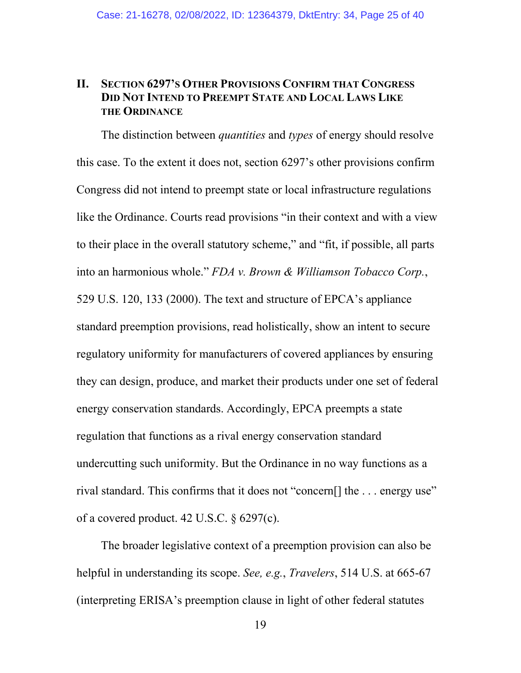### **II. SECTION 6297'S OTHER PROVISIONS CONFIRM THAT CONGRESS DID NOT INTEND TO PREEMPT STATE AND LOCAL LAWS LIKE THE ORDINANCE**

The distinction between *quantities* and *types* of energy should resolve this case. To the extent it does not, section 6297's other provisions confirm Congress did not intend to preempt state or local infrastructure regulations like the Ordinance. Courts read provisions "in their context and with a view to their place in the overall statutory scheme," and "fit, if possible, all parts into an harmonious whole." *FDA v. Brown & Williamson Tobacco Corp.*, 529 U.S. 120, 133 (2000). The text and structure of EPCA's appliance standard preemption provisions, read holistically, show an intent to secure regulatory uniformity for manufacturers of covered appliances by ensuring they can design, produce, and market their products under one set of federal energy conservation standards. Accordingly, EPCA preempts a state regulation that functions as a rival energy conservation standard undercutting such uniformity. But the Ordinance in no way functions as a rival standard. This confirms that it does not "concern[] the . . . energy use" of a covered product. 42 U.S.C. § 6297(c).

The broader legislative context of a preemption provision can also be helpful in understanding its scope. *See, e.g.*, *Travelers*, 514 U.S. at 665-67 (interpreting ERISA's preemption clause in light of other federal statutes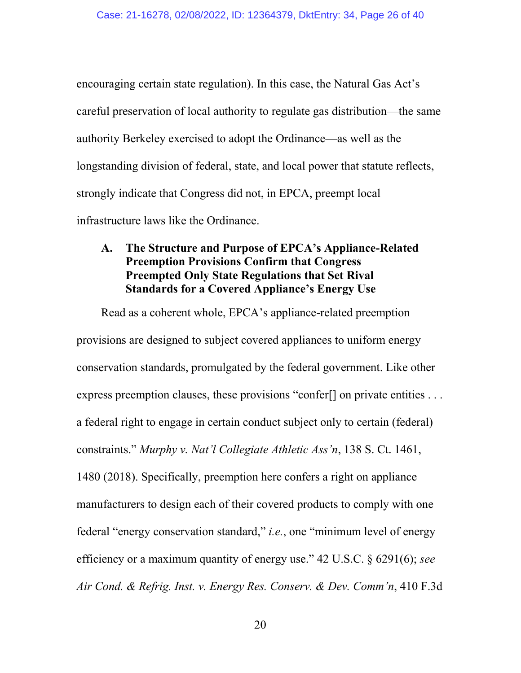encouraging certain state regulation). In this case, the Natural Gas Act's careful preservation of local authority to regulate gas distribution—the same authority Berkeley exercised to adopt the Ordinance—as well as the longstanding division of federal, state, and local power that statute reflects, strongly indicate that Congress did not, in EPCA, preempt local infrastructure laws like the Ordinance.

## **A. The Structure and Purpose of EPCA's Appliance-Related Preemption Provisions Confirm that Congress Preempted Only State Regulations that Set Rival Standards for a Covered Appliance's Energy Use**

Read as a coherent whole, EPCA's appliance-related preemption provisions are designed to subject covered appliances to uniform energy conservation standards, promulgated by the federal government. Like other express preemption clauses, these provisions "confer<sup>[]</sup> on private entities . . . a federal right to engage in certain conduct subject only to certain (federal) constraints." *Murphy v. Nat'l Collegiate Athletic Ass'n*, 138 S. Ct. 1461, 1480 (2018). Specifically, preemption here confers a right on appliance manufacturers to design each of their covered products to comply with one federal "energy conservation standard," *i.e.*, one "minimum level of energy efficiency or a maximum quantity of energy use." 42 U.S.C. § 6291(6); *see Air Cond. & Refrig. Inst. v. Energy Res. Conserv. & Dev. Comm'n*, 410 F.3d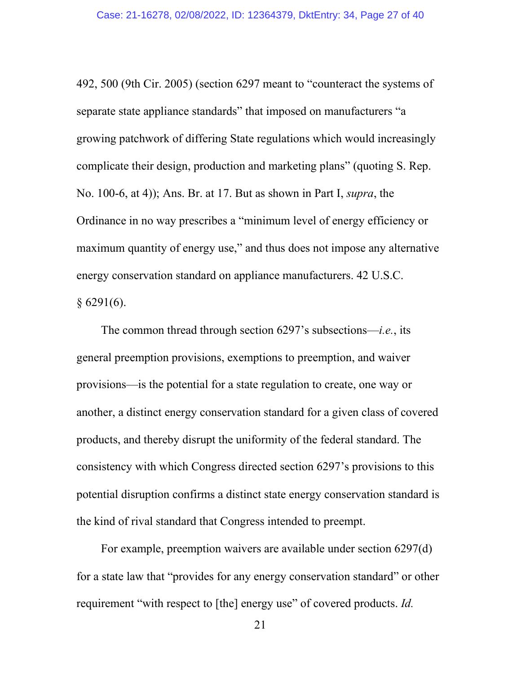492, 500 (9th Cir. 2005) (section 6297 meant to "counteract the systems of separate state appliance standards" that imposed on manufacturers "a growing patchwork of differing State regulations which would increasingly complicate their design, production and marketing plans" (quoting S. Rep. No. 100-6, at 4)); Ans. Br. at 17. But as shown in Part I, *supra*, the Ordinance in no way prescribes a "minimum level of energy efficiency or maximum quantity of energy use," and thus does not impose any alternative energy conservation standard on appliance manufacturers. 42 U.S.C.  $§ 6291(6).$ 

The common thread through section 6297's subsections—*i.e.*, its general preemption provisions, exemptions to preemption, and waiver provisions—is the potential for a state regulation to create, one way or another, a distinct energy conservation standard for a given class of covered products, and thereby disrupt the uniformity of the federal standard. The consistency with which Congress directed section 6297's provisions to this potential disruption confirms a distinct state energy conservation standard is the kind of rival standard that Congress intended to preempt.

For example, preemption waivers are available under section 6297(d) for a state law that "provides for any energy conservation standard" or other requirement "with respect to [the] energy use" of covered products. *Id.*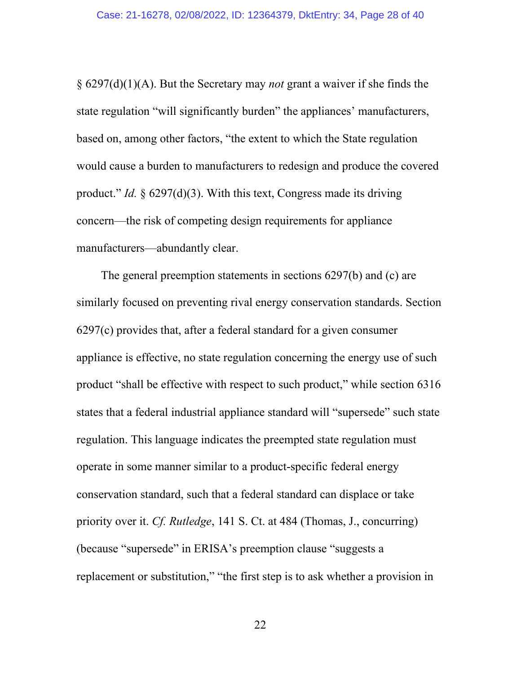§ 6297(d)(1)(A). But the Secretary may *not* grant a waiver if she finds the state regulation "will significantly burden" the appliances' manufacturers, based on, among other factors, "the extent to which the State regulation would cause a burden to manufacturers to redesign and produce the covered product." *Id.* § 6297(d)(3). With this text, Congress made its driving concern—the risk of competing design requirements for appliance manufacturers—abundantly clear.

The general preemption statements in sections 6297(b) and (c) are similarly focused on preventing rival energy conservation standards. Section 6297(c) provides that, after a federal standard for a given consumer appliance is effective, no state regulation concerning the energy use of such product "shall be effective with respect to such product," while section 6316 states that a federal industrial appliance standard will "supersede" such state regulation. This language indicates the preempted state regulation must operate in some manner similar to a product-specific federal energy conservation standard, such that a federal standard can displace or take priority over it. *Cf. Rutledge*, 141 S. Ct. at 484 (Thomas, J., concurring) (because "supersede" in ERISA's preemption clause "suggests a replacement or substitution," "the first step is to ask whether a provision in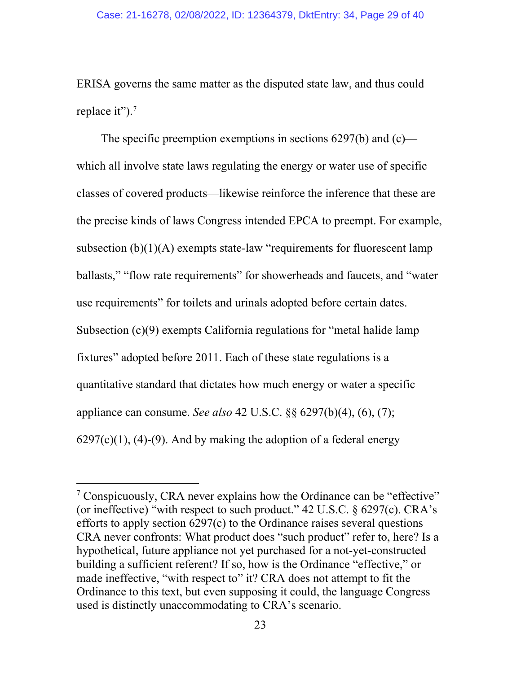ERISA governs the same matter as the disputed state law, and thus could replace it").<sup>[7](#page-28-0)</sup>

The specific preemption exemptions in sections 6297(b) and (c) which all involve state laws regulating the energy or water use of specific classes of covered products—likewise reinforce the inference that these are the precise kinds of laws Congress intended EPCA to preempt. For example, subsection  $(b)(1)(A)$  exempts state-law "requirements for fluorescent lamp ballasts," "flow rate requirements" for showerheads and faucets, and "water use requirements" for toilets and urinals adopted before certain dates. Subsection (c)(9) exempts California regulations for "metal halide lamp fixtures" adopted before 2011. Each of these state regulations is a quantitative standard that dictates how much energy or water a specific appliance can consume. *See also* 42 U.S.C. §§ 6297(b)(4), (6), (7);  $6297(c)(1)$ ,  $(4)-(9)$ . And by making the adoption of a federal energy

<span id="page-28-0"></span><sup>&</sup>lt;sup>7</sup> Conspicuously, CRA never explains how the Ordinance can be "effective" (or ineffective) "with respect to such product."  $42 \text{ U.S.C.}$   $\& 6297(c)$ . CRA's efforts to apply section 6297(c) to the Ordinance raises several questions CRA never confronts: What product does "such product" refer to, here? Is a hypothetical, future appliance not yet purchased for a not-yet-constructed building a sufficient referent? If so, how is the Ordinance "effective," or made ineffective, "with respect to" it? CRA does not attempt to fit the Ordinance to this text, but even supposing it could, the language Congress used is distinctly unaccommodating to CRA's scenario.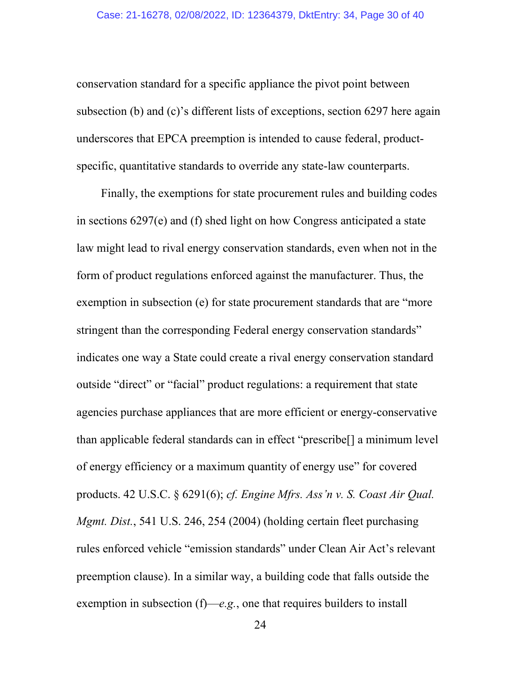conservation standard for a specific appliance the pivot point between subsection (b) and (c)'s different lists of exceptions, section 6297 here again underscores that EPCA preemption is intended to cause federal, productspecific, quantitative standards to override any state-law counterparts.

Finally, the exemptions for state procurement rules and building codes in sections 6297(e) and (f) shed light on how Congress anticipated a state law might lead to rival energy conservation standards, even when not in the form of product regulations enforced against the manufacturer. Thus, the exemption in subsection (e) for state procurement standards that are "more stringent than the corresponding Federal energy conservation standards" indicates one way a State could create a rival energy conservation standard outside "direct" or "facial" product regulations: a requirement that state agencies purchase appliances that are more efficient or energy-conservative than applicable federal standards can in effect "prescribe[] a minimum level of energy efficiency or a maximum quantity of energy use" for covered products. 42 U.S.C. § 6291(6); *cf. Engine Mfrs. Ass'n v. S. Coast Air Qual. Mgmt. Dist.*, 541 U.S. 246, 254 (2004) (holding certain fleet purchasing rules enforced vehicle "emission standards" under Clean Air Act's relevant preemption clause). In a similar way, a building code that falls outside the exemption in subsection (f)—*e.g.*, one that requires builders to install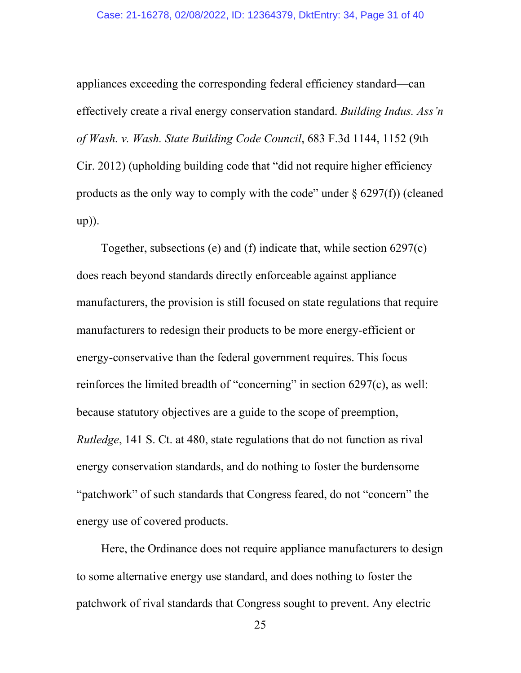appliances exceeding the corresponding federal efficiency standard—can effectively create a rival energy conservation standard. *Building Indus. Ass'n of Wash. v. Wash. State Building Code Council*, 683 F.3d 1144, 1152 (9th Cir. 2012) (upholding building code that "did not require higher efficiency products as the only way to comply with the code" under  $\S$  6297(f)) (cleaned up)).

Together, subsections (e) and (f) indicate that, while section 6297(c) does reach beyond standards directly enforceable against appliance manufacturers, the provision is still focused on state regulations that require manufacturers to redesign their products to be more energy-efficient or energy-conservative than the federal government requires. This focus reinforces the limited breadth of "concerning" in section 6297(c), as well: because statutory objectives are a guide to the scope of preemption, *Rutledge*, 141 S. Ct. at 480, state regulations that do not function as rival energy conservation standards, and do nothing to foster the burdensome "patchwork" of such standards that Congress feared, do not "concern" the energy use of covered products.

Here, the Ordinance does not require appliance manufacturers to design to some alternative energy use standard, and does nothing to foster the patchwork of rival standards that Congress sought to prevent. Any electric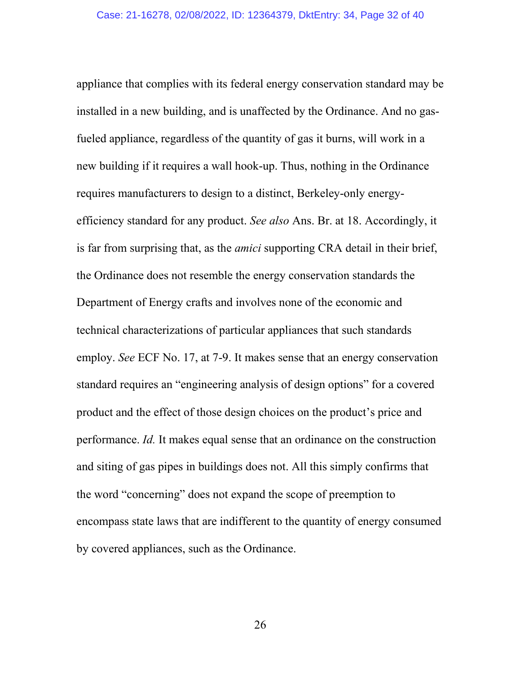appliance that complies with its federal energy conservation standard may be installed in a new building, and is unaffected by the Ordinance. And no gasfueled appliance, regardless of the quantity of gas it burns, will work in a new building if it requires a wall hook-up. Thus, nothing in the Ordinance requires manufacturers to design to a distinct, Berkeley-only energyefficiency standard for any product. *See also* Ans. Br. at 18. Accordingly, it is far from surprising that, as the *amici* supporting CRA detail in their brief, the Ordinance does not resemble the energy conservation standards the Department of Energy crafts and involves none of the economic and technical characterizations of particular appliances that such standards employ. *See* ECF No. 17, at 7-9. It makes sense that an energy conservation standard requires an "engineering analysis of design options" for a covered product and the effect of those design choices on the product's price and performance. *Id.* It makes equal sense that an ordinance on the construction and siting of gas pipes in buildings does not. All this simply confirms that the word "concerning" does not expand the scope of preemption to encompass state laws that are indifferent to the quantity of energy consumed by covered appliances, such as the Ordinance.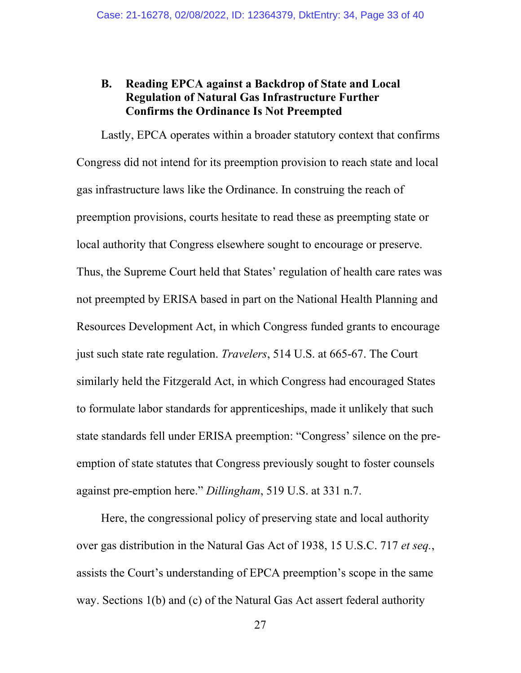## **B. Reading EPCA against a Backdrop of State and Local Regulation of Natural Gas Infrastructure Further Confirms the Ordinance Is Not Preempted**

Lastly, EPCA operates within a broader statutory context that confirms Congress did not intend for its preemption provision to reach state and local gas infrastructure laws like the Ordinance. In construing the reach of preemption provisions, courts hesitate to read these as preempting state or local authority that Congress elsewhere sought to encourage or preserve. Thus, the Supreme Court held that States' regulation of health care rates was not preempted by ERISA based in part on the National Health Planning and Resources Development Act, in which Congress funded grants to encourage just such state rate regulation. *Travelers*, 514 U.S. at 665-67. The Court similarly held the Fitzgerald Act, in which Congress had encouraged States to formulate labor standards for apprenticeships, made it unlikely that such state standards fell under ERISA preemption: "Congress' silence on the preemption of state statutes that Congress previously sought to foster counsels against pre-emption here." *Dillingham*, 519 U.S. at 331 n.7.

Here, the congressional policy of preserving state and local authority over gas distribution in the Natural Gas Act of 1938, 15 U.S.C. 717 *et seq.*, assists the Court's understanding of EPCA preemption's scope in the same way. Sections 1(b) and (c) of the Natural Gas Act assert federal authority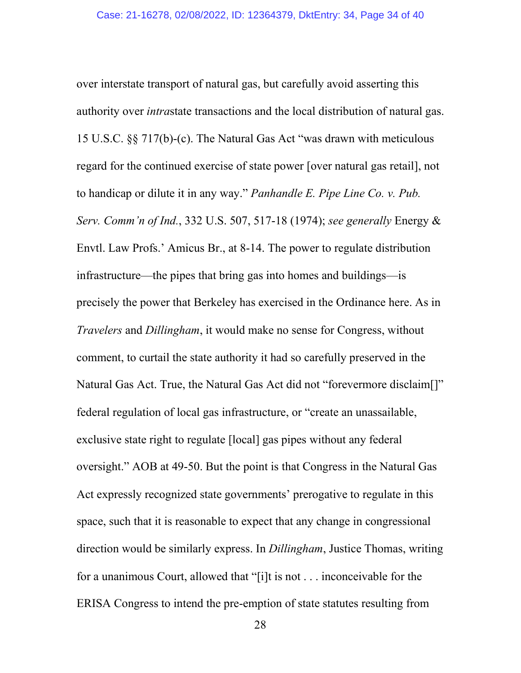over interstate transport of natural gas, but carefully avoid asserting this authority over *intra*state transactions and the local distribution of natural gas. 15 U.S.C. §§ 717(b)-(c). The Natural Gas Act "was drawn with meticulous regard for the continued exercise of state power [over natural gas retail], not to handicap or dilute it in any way." *Panhandle E. Pipe Line Co. v. Pub. Serv. Comm'n of Ind.*, 332 U.S. 507, 517-18 (1974); *see generally* Energy & Envtl. Law Profs.' Amicus Br., at 8-14. The power to regulate distribution infrastructure—the pipes that bring gas into homes and buildings—is precisely the power that Berkeley has exercised in the Ordinance here. As in *Travelers* and *Dillingham*, it would make no sense for Congress, without comment, to curtail the state authority it had so carefully preserved in the Natural Gas Act. True, the Natural Gas Act did not "forevermore disclaim[]" federal regulation of local gas infrastructure, or "create an unassailable, exclusive state right to regulate [local] gas pipes without any federal oversight." AOB at 49-50. But the point is that Congress in the Natural Gas Act expressly recognized state governments' prerogative to regulate in this space, such that it is reasonable to expect that any change in congressional direction would be similarly express. In *Dillingham*, Justice Thomas, writing for a unanimous Court, allowed that "[i]t is not . . . inconceivable for the ERISA Congress to intend the pre-emption of state statutes resulting from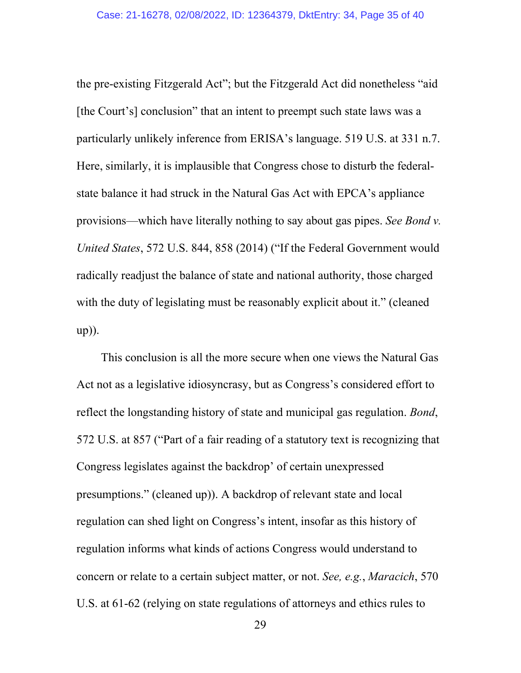the pre-existing Fitzgerald Act"; but the Fitzgerald Act did nonetheless "aid [the Court's] conclusion" that an intent to preempt such state laws was a particularly unlikely inference from ERISA's language. 519 U.S. at 331 n.7. Here, similarly, it is implausible that Congress chose to disturb the federalstate balance it had struck in the Natural Gas Act with EPCA's appliance provisions—which have literally nothing to say about gas pipes. *See Bond v. United States*, 572 U.S. 844, 858 (2014) ("If the Federal Government would radically readjust the balance of state and national authority, those charged with the duty of legislating must be reasonably explicit about it." (cleaned up)).

This conclusion is all the more secure when one views the Natural Gas Act not as a legislative idiosyncrasy, but as Congress's considered effort to reflect the longstanding history of state and municipal gas regulation. *Bond*, 572 U.S. at 857 ("Part of a fair reading of a statutory text is recognizing that Congress legislates against the backdrop' of certain unexpressed presumptions." (cleaned up)). A backdrop of relevant state and local regulation can shed light on Congress's intent, insofar as this history of regulation informs what kinds of actions Congress would understand to concern or relate to a certain subject matter, or not. *See, e.g.*, *Maracich*, 570 U.S. at 61-62 (relying on state regulations of attorneys and ethics rules to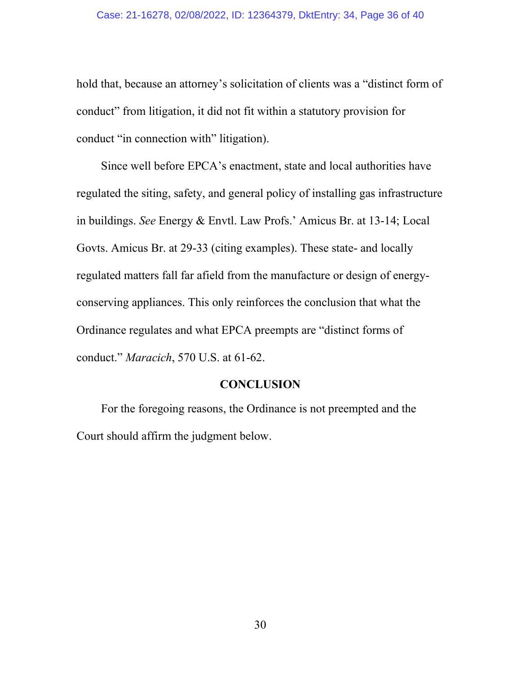#### Case: 21-16278, 02/08/2022, ID: 12364379, DktEntry: 34, Page 36 of 40

hold that, because an attorney's solicitation of clients was a "distinct form of conduct" from litigation, it did not fit within a statutory provision for conduct "in connection with" litigation).

Since well before EPCA's enactment, state and local authorities have regulated the siting, safety, and general policy of installing gas infrastructure in buildings. *See* Energy & Envtl. Law Profs.' Amicus Br. at 13-14; Local Govts. Amicus Br. at 29-33 (citing examples). These state- and locally regulated matters fall far afield from the manufacture or design of energyconserving appliances. This only reinforces the conclusion that what the Ordinance regulates and what EPCA preempts are "distinct forms of conduct." *Maracich*, 570 U.S. at 61-62.

#### **CONCLUSION**

For the foregoing reasons, the Ordinance is not preempted and the Court should affirm the judgment below.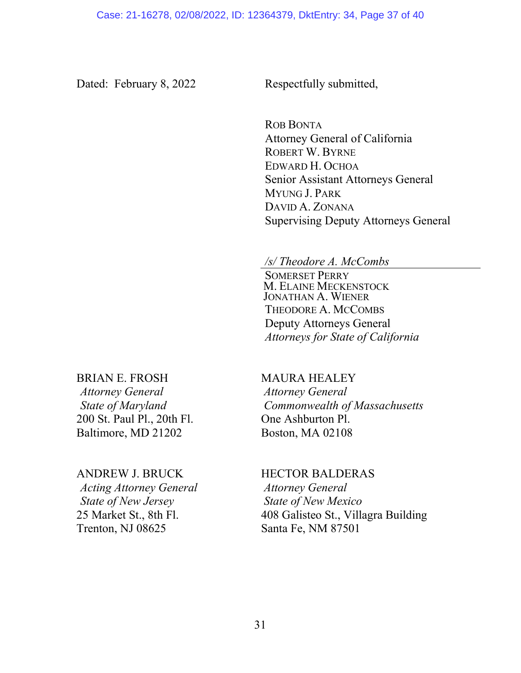Dated: February 8, 2022 Respectfully submitted,

ROB BONTA Attorney General of California ROBERT W. BYRNE EDWARD H. OCHOA Senior Assistant Attorneys General MYUNG J. PARK DAVID A. ZONANA Supervising Deputy Attorneys General

# */s/ Theodore A. McCombs*

SOMERSET PERRY M. ELAINE MECKENSTOCK JONATHAN A. WIENER THEODORE A. MCCOMBS Deputy Attorneys General *Attorneys for State of California*

#### BRIAN E. FROSH

*Attorney General State of Maryland* 200 St. Paul Pl., 20th Fl. Baltimore, MD 21202

#### ANDREW J. BRUCK

*Acting Attorney General State of New Jersey* 25 Market St., 8th Fl. Trenton, NJ 08625

#### MAURA HEALEY

*Attorney General Commonwealth of Massachusetts*  One Ashburton Pl. Boston, MA 02108

### HECTOR BALDERAS *Attorney General State of New Mexico* 408 Galisteo St., Villagra Building Santa Fe, NM 87501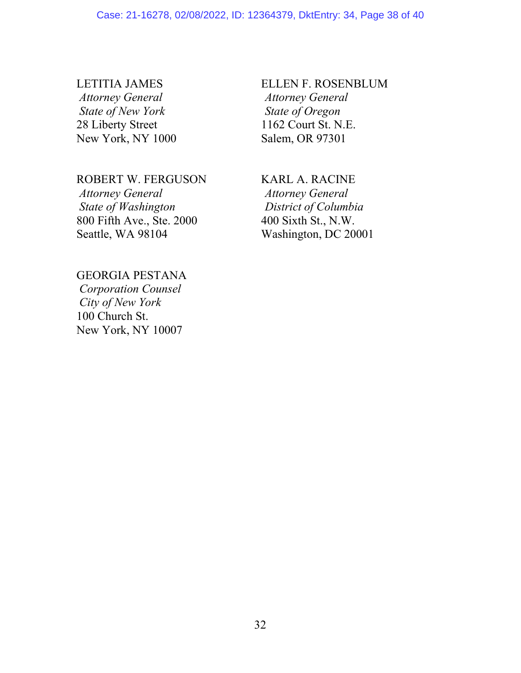## LETITIA JAMES *Attorney General State of New York*  28 Liberty Street New York, NY 1000

#### ROBERT W. FERGUSON

*Attorney General State of Washington* 800 Fifth Ave., Ste. 2000 Seattle, WA 98104

## ELLEN F. ROSENBLUM *Attorney General State of Oregon*  1162 Court St. N.E. Salem, OR 97301

## KARL A. RACINE *Attorney General District of Columbia*  400 Sixth St., N.W. Washington, DC 20001

# GEORGIA PESTANA *Corporation Counsel*

*City of New York*  100 Church St. New York, NY 10007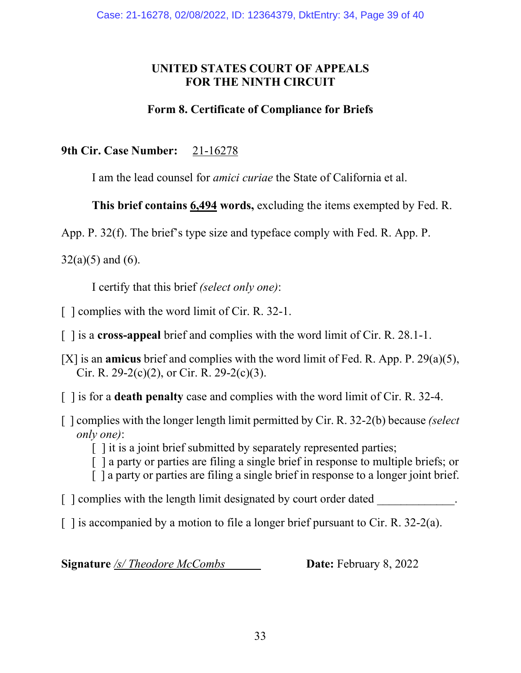# **UNITED STATES COURT OF APPEALS FOR THE NINTH CIRCUIT**

# **Form 8. Certificate of Compliance for Briefs**

**9th Cir. Case Number:** 21-16278

I am the lead counsel for *amici curiae* the State of California et al.

**This brief contains 6,494 words,** excluding the items exempted by Fed. R.

App. P. 32(f). The brief's type size and typeface comply with Fed. R. App. P.

 $32(a)(5)$  and (6).

I certify that this brief *(select only one)*:

[ ] complies with the word limit of Cir. R. 32-1.

[ ] is a **cross-appeal** brief and complies with the word limit of Cir. R. 28.1-1.

[X] is an **amicus** brief and complies with the word limit of Fed. R. App. P. 29(a)(5), Cir. R. 29-2(c)(2), or Cir. R. 29-2(c)(3).

[ ] is for a **death penalty** case and complies with the word limit of Cir. R. 32-4.

[ ] complies with the longer length limit permitted by Cir. R. 32-2(b) because *(select only one)*:

[ ] it is a joint brief submitted by separately represented parties;

[ ] a party or parties are filing a single brief in response to multiple briefs; or

[ ] a party or parties are filing a single brief in response to a longer joint brief.

 $\lceil$  | complies with the length limit designated by court order dated

 $\lceil$  1 is accompanied by a motion to file a longer brief pursuant to Cir. R. 32-2(a).

**Signature** /s/ Theodore McCombs **Date:** February 8, 2022